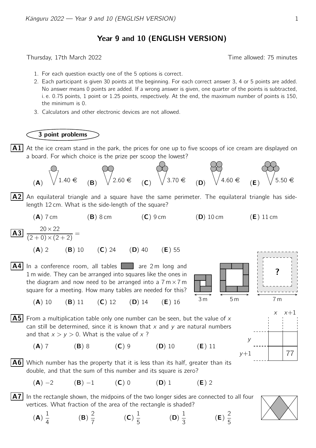## Year 9 and 10 (ENGLISH VERSION)

Thursday, 17th March 2022 Time allowed: 75 minutes

- 1. For each question exactly one of the 5 options is correct.
- 2. Each participant is given 30 points at the beginning. For each correct answer 3, 4 or 5 points are added. No answer means 0 points are added. If a wrong answer is given, one quarter of the points is subtracted, i. e. 0.75 points, 1 point or 1.25 points, respectively. At the end, the maximum number of points is 150, the minimum is 0.
- 3. Calculators and other electronic devices are not allowed.

## 3 point problems

 $|A1|$  At the ice cream stand in the park, the prices for one up to five scoops of ice cream are displayed on a board. For which choice is the prize per scoop the lowest?



 $|A2|$  An equilateral triangle and a square have the same perimeter. The equilateral triangle has sidelength 12 cm. What is the side-length of the square?

$$
(A) 7 cm \t\t (B) 8 cm \t\t (C) 9 cm \t\t (D) 10 cm \t\t (E) 11 cm
$$

$$
\boxed{\textbf{A3}} \ \frac{20 \times 22}{(2+0) \times (2+2)} =
$$

(A) 2 (B) 10 (C) 24 (D) 40 (E) 55

 $\overline{A4}$  In a conference room, all tables  $\overline{a}$  are 2 m long and 1 m wide. They can be arranged into squares like the ones in the diagram and now need to be arranged into a  $7 \text{ m} \times 7 \text{ m}$ square for a meeting. How many tables are needed for this?



(A) 10 (B) 11 (C) 12 (D) 14 (E) 16



(A) 7 (B) 8 (C) 9 (D) 10 (E) 11

- $v+1$ y  $x \times x+1$ 77
- **A6** Which number has the property that it is less than its half, greater than its double, and that the sum of this number and its square is zero?

(A) −2 (B) −1 (C) 0 (D) 1 (E) 2

- $\mathsf{A7}|$  In the rectangle shown, the midpoins of the two longer sides are connected to all four vertices. What fraction of the area of the rectangle is shaded?
	- (A) 1 4 (B) 2 7 (C) 1 5 (D) 1 3 (E) 2 5

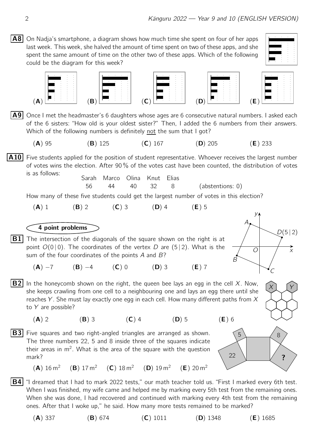**A8** On Nadja's smartphone, a diagram shows how much time she spent on four of her apps last week. This week, she halved the amount of time spent on two of these apps, and she spent the same amount of time on the other two of these apps. Which of the following could be the diagram for this week?





- $\vert$  A9 Once I met the headmaster's 6 daughters whose ages are 6 consecutive natural numbers. I asked each of the 6 sisters: "How old is your oldest sister?" Then, I added the 6 numbers from their answers. Which of the following numbers is definitely not the sum that I got?
	- (A) 95 (B) 125 (C) 167 (D) 205 (E) 233

 $\vert$ A10 Five students applied for the position of student representative. Whoever receives the largest number of votes wins the election. After 90 % of the votes cast have been counted, the distribution of votes is as follows:

Sarah Marco Olina Knut Elias 56 44 40 32 8 (abstentions: 0)

How many of these five students could get the largest number of votes in this election?

\n**(A)** 1\n**(B)** 2\n**(C)** 3\n**(D)** 4\n**(E)** 5\n

\n\n**9** The intersection of the diagonals of the square shown on the right is at point 
$$
O(0|0)
$$
. The coordinates of the vertex *D* are (5|2). What is the sum of the four coordinates of the points *A* and *B*?\n

\n\n**(A)** –7\n**(B)** –4\n**(C)** 0\n**(D)** 3\n**(E)** 7\n

\n\n**10** In the honeycomb shown on the right, the queen be lays an egg in the cell *X*. Now, she keeps crowlin from one cell to a neighbouring one and lays an egg there until she reaches *Y*. She must lay exactly one egg in each cell. How many different paths from *X* to *Y* are possible?\n

\n\n**(A)** 2\n**(B)** 3\n**(C)** 4\n**(D)** 5\n**(E)** 6\n

\n\n**11** The three numbers 22, 5 and 8 inside three of the squares indicate their areas in  $m^2$ . What is the area of the square with the question mark?\n

\n\n**(A)** 16 m<sup>2</sup>\n**(B)** 17 m<sup>2</sup>\n**(C)** 18 m<sup>2</sup>\n**(D)** 19 m<sup>2</sup>\n**(E)** 20 m<sup>2</sup>\n**(E)** 21 m<sup>2</sup>\n**(E)** 22\n

\n

When I was finished, my wife came and helped me by marking every 5th test from the remaining ones. When she was done, I had recovered and continued with marking every 4th test from the remaining ones. After that I woke up," he said. How many more tests remained to be marked?

(A) 337 (B) 674 (C) 1011 (D) 1348 (E) 1685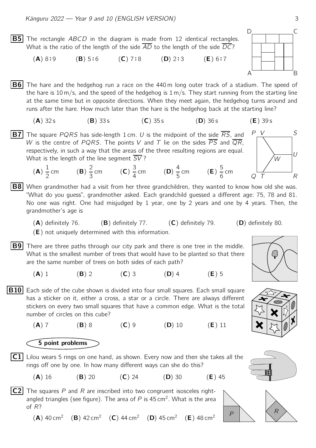**B5** The rectangle *ABCD* in the diagram is made from 12 identical rectangles. What is the ratio of the length of the side AD to the length of the side DC?

 $(A) 8:9$  $(B) 5:6$  $(C) 7:8$  $(D)$  2:3  $:3$  (**E**) 6:7

 $|B6|$  The hare and the hedgehog run a race on the 440 m long outer track of a stadium. The speed of the hare is 10 m/s, and the speed of the hedgehog is  $1 \text{ m/s}$ . They start running from the starting line at the same time but in opposite directions. When they meet again, the hedgehog turns around and runs after the hare. How much later than the hare is the hedgehog back at the starting line?

$$
(A) 32 s \t\t (B) 33 s \t\t (C) 35 s \t\t (D) 36 s \t\t (E) 39 s
$$

**B7** The square PQRS has side-length 1 cm. U is the midpoint of the side  $\overline{RS}$ , and W is the centre of PQRS. The points V and T lie on the sides  $\overline{PS}$  and  $\overline{QR}$ , respectively, in such a way that the areas of the three resulting regions are equal. What is the length of the line segment SV?

(A) 1 2 cm  $(\mathsf{B})$ 2 3 cm  $(C)$ 3 4 cm  $(D)$ 4 5 cm  $(E)$ 

**B8** When grandmother had a visit from her three grandchildren, they wanted to know how old she was. "What do you guess", grandmother asked. Each grandchild guessed a different age: 75, 78 and 81. No one was right. One had misjudged by 1 year, one by 2 years and one by 4 years. Then, the grandmother's age is

- $(A)$  definitely 76.  $(B)$  definitely 77.  $(C)$  definitely 79.  $(D)$  definitely 80.
- (E) not uniquely determined with this information.
- **B9** There are three paths through our city park and there is one tree in the middle. What is the smallest number of trees that would have to be planted so that there are the same number of trees on both sides of each path?
	- (A) 1 (B) 2 (C) 3 (D) 4 (E) 5
- **B10** Each side of the cube shown is divided into four small squares. Each small square has a sticker on it, either a cross, a star or a circle. There are always different stickers on every two small squares that have a common edge. What is the total number of circles on this cube?
	- (A) 7 (B) 8 (C) 9 (D) 10 (E) 11



- $|C1|$  Lilou wears 5 rings on one hand, as shown. Every now and then she takes all the rings off one by one. In how many different ways can she do this?
	- (**A**) 16 (**B**) 20 (**C**) 24 (**D**) 30 (**E**) 45

 $\overline{C2}$  The squares P and R are inscribed into two congruent isosceles rightangled triangles (see figure). The area of  $P$  is 45 cm<sup>2</sup>. What is the area of R?

(A)  $40 \text{ cm}^2$  (B)  $42 \text{ cm}^2$  (C)  $44 \text{ cm}^2$  (D)  $45 \text{ cm}^2$  (E)  $48 \text{ cm}^2$ 





Q R

W

 $\overline{U}$ 

P V S







P

T

5 6 cm